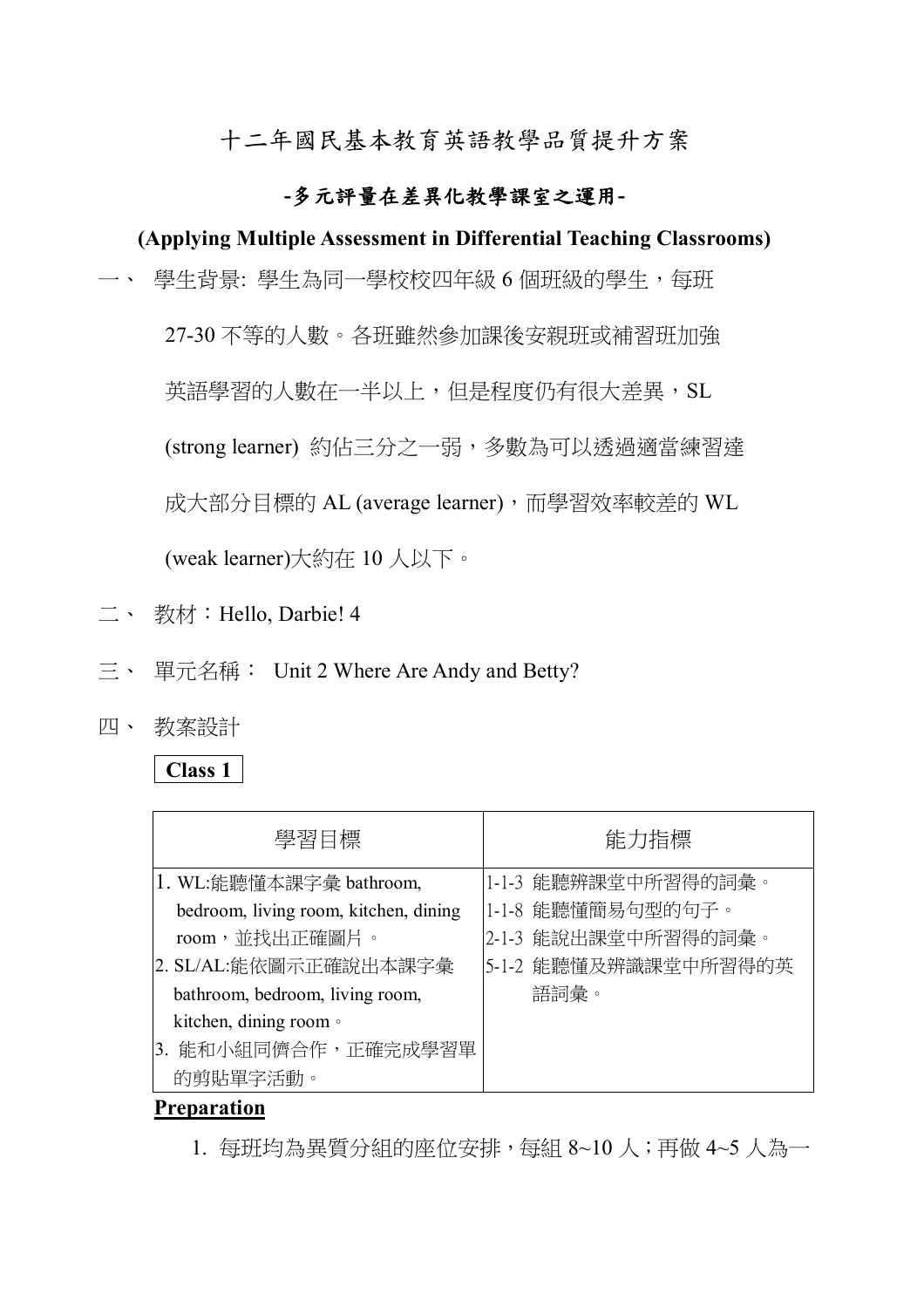十二年國民基本教育英語教學品質提升方案

## **-多元評量在差異化教學課室之運用-**

## **(Applying Multiple Assessment in Differential Teaching Classrooms)**

一、 學牛背景: 學牛為同一學校校四年級 6 個班級的學牛,每班

27-30 不等的人數。各班雖然參加課後安親班或補習班加強

英語學習的人數在一半以上,但是程度仍有很大差異, SL

(strong learner) 約佔三分之一弱,多數為可以透過適當練習達

成大部分目標的 AL (average learner), 而學習效率較差的 WL

(weak learner)大約在 10 人以下。

- 二、 教材:Hello, Darbie! 4
- 三、 單元名稱: Unit 2 Where Are Andy and Betty?
- 四、 教案設計

## **Class 1**

| 學習目標                                  | 能力指標                 |
|---------------------------------------|----------------------|
| 1. WL:能聽懂本課字彙 bathroom,               | 1-1-3 能聽辨課堂中所習得的詞彙。  |
| bedroom, living room, kitchen, dining | 1-1-8 能聽懂簡易句型的句子。    |
| room,並找出正確圖片。                         | 2-1-3 能說出課堂中所習得的詞彙。  |
| 2. SL/AL:能依圖示正確說出本課字彙                 | 5-1-2 能聽懂及辨識課堂中所習得的英 |
| bathroom, bedroom, living room,       | 語詞彙。                 |
| kitchen, dining room ·                |                      |
| 3. 能和小組同儕合作,正確完成學習單                   |                      |
| 的剪貼單字活動。                              |                      |

#### **Preparation**

1. 每班均為異質分組的座位安排,每組 8~10 人;再做 4~5 人為一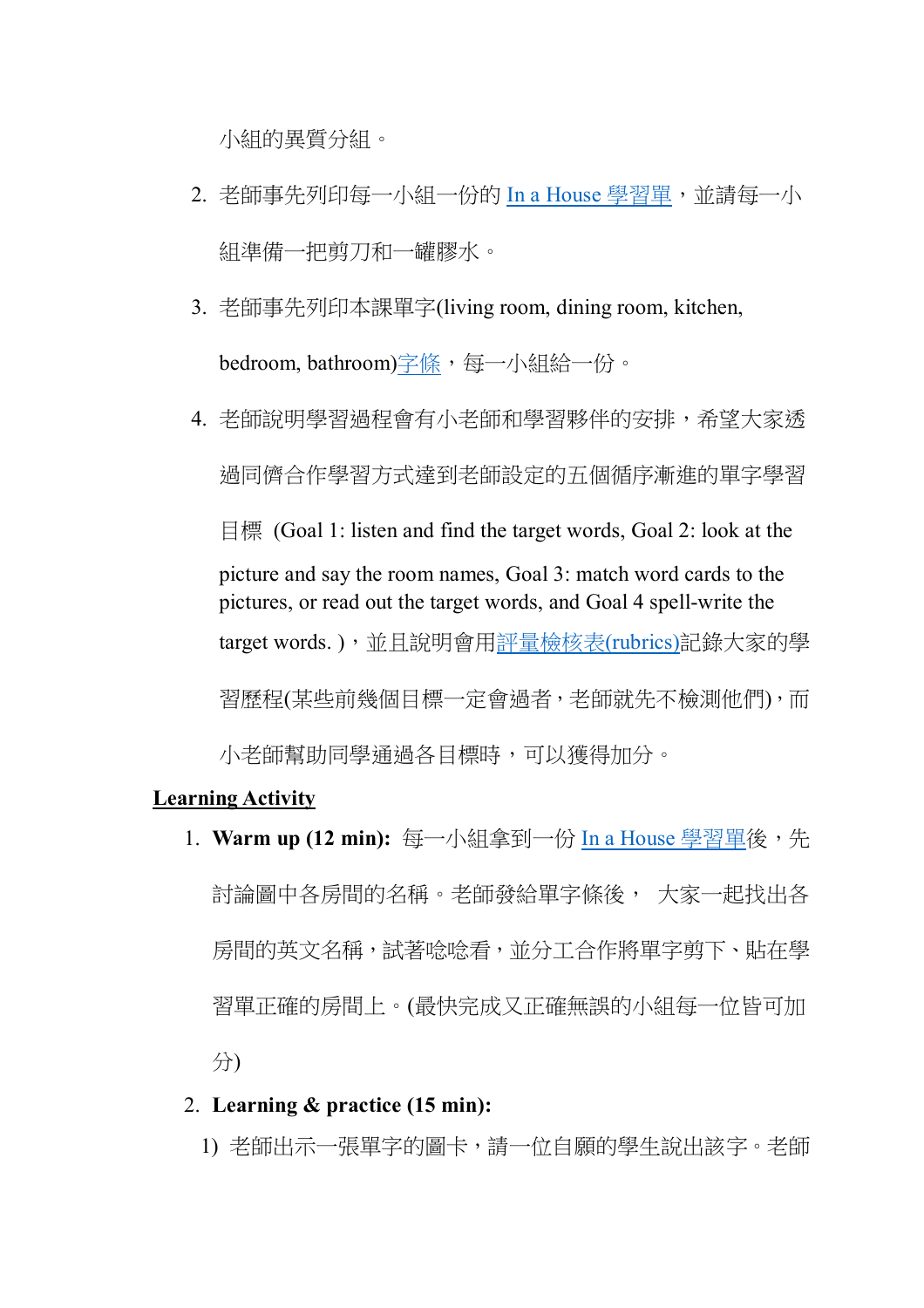小組的異質分組。

- 2. 老師事先列印每一小組一份的 In a House 學習單,並請每一小 組準備一把剪刀和一罐膠水。
- 3. 老師事先列印本課單字(living room, dining room, kitchen, bedroom, bathroom)字條,每一小組給一份。
- 4. 老師說明學習過程會有小老師和學習夥伴的安排,希望大家透 過同儕合作學習方式達到老師設定的五個循序漸進的單字學習 目標 (Goal 1: listen and find the target words, Goal 2: look at the picture and say the room names, Goal 3: match word cards to the pictures, or read out the target words, and Goal 4 spell-write the target words.),並且說明會用評量檢核表(rubrics)記錄大家的學 習歷程(某些前幾個目標一定會過者,老師就先不檢測他們),而 小老師幫助同學通過各目標時,可以獲得加分。

#### **Learning Activity**

1. Warm up (12 min): 每一小組拿到一份 In a House 學習單後, 先 討論圖中各房間的名稱。老師發給單字條後, 大家一起找出各 房間的英文名稱,試著唸唸看,並分工合作將單字剪下、貼在學 習單正確的房間上。(最快完成又正確無誤的小組每一位皆可加 分)

#### 2. **Learning & practice (15 min):**

1) 老師出示一張單字的圖卡,請一位自願的學生說出該字。老師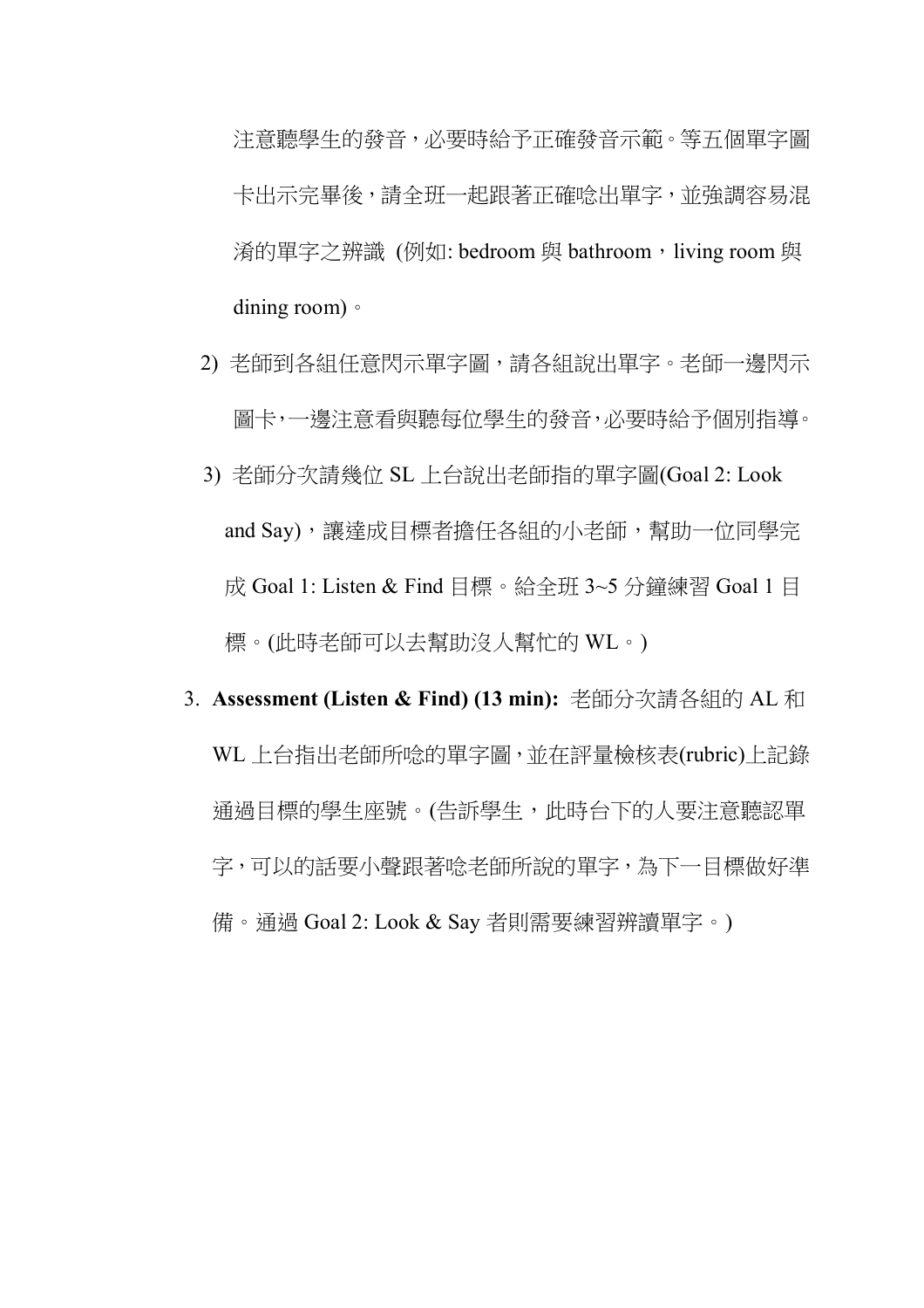注意聽學生的發音,必要時給予正確發音示範。等五個單字圖 卡出示完畢後,請全班一起跟著正確唸出單字,並強調容易混 淆的單字之辨識 (例如: bedroom 與 bathroom, living room 與 dining room)。

- 2) 老師到各組任意閃示單字圖,請各組說出單字。老師一邊閃示 圖卡,一邊注意看與聽每位學生的發音,必要時給予個別指導。
- 3) 老師分次請幾位 SL 上台說出老師指的單字圖(Goal 2: Look and Say),讓達成目標者擔任各組的小老師,幫助一位同學完 成 Goal 1: Listen & Find 目標。給全班 3~5 分鐘練習 Goal 1 目 標。(此時老師可以去幫助沒人幫忙的 WL。)
- 3. **Assessment (Listen & Find) (13 min):** 老師分次請各組的 AL 和 WL 上台指出老師所唸的單字圖,並在評量檢核表(rubric)上記錄 通過目標的學生座號。(告訴學生,此時台下的人要注意聽認單 字,可以的話要小聲跟著唸老師所說的單字,為下一目標做好準 備。通過 Goal 2: Look & Say 者則需要練習辨讀單字。)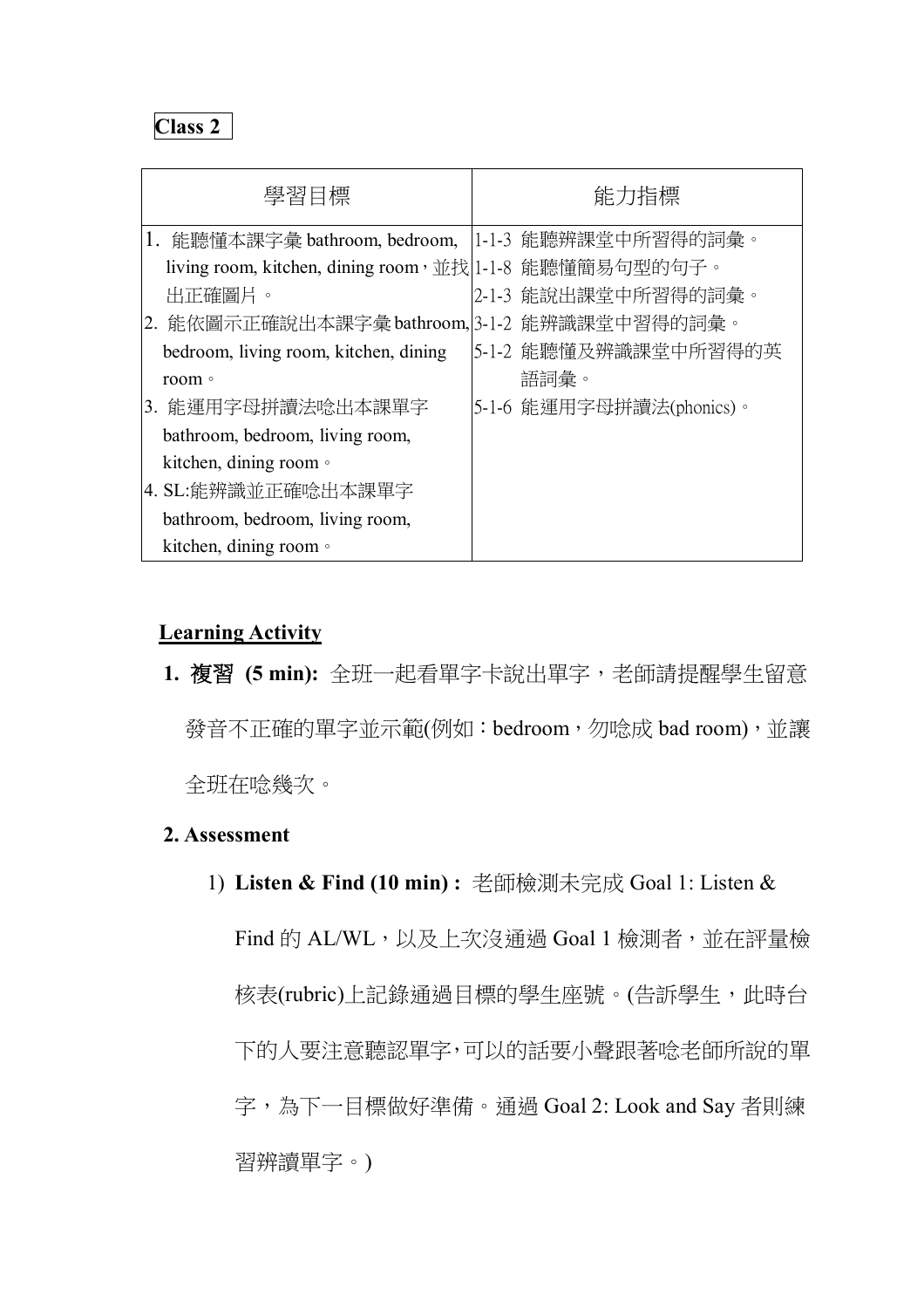| 學習目標                                                    | 能力指標                     |
|---------------------------------------------------------|--------------------------|
| 1. 能聽懂本課字彙 bathroom, bedroom,  1-1-3 能聽辨課堂中所習得的詞彙。      |                          |
| living room, kitchen, dining room, 並找 1-1-8 能聽懂簡易句型的句子。 |                          |
| 出正確圖片。                                                  | 2-1-3 能說出課堂中所習得的詞彙。      |
| 2. 能依圖示正確說出本課字彙bathroom, 3-1-2 能辨識課堂中習得的詞彙。             |                          |
| bedroom, living room, kitchen, dining                   | 5-1-2 能聽懂及辨識課堂中所習得的英     |
| room •                                                  | 語詞彙。                     |
| 3. 能運用字母拼讀法唸出本課單字                                       | 5-1-6 能運用字母拼讀法(phonics)。 |
| bathroom, bedroom, living room,                         |                          |
| kitchen, dining room $\circ$                            |                          |
| 4. SL:能辨識並正確唸出本課單字                                      |                          |
| bathroom, bedroom, living room,                         |                          |
| kitchen, dining room $\circ$                            |                          |

## **Learning Activity**

**1.** 複習 **(5 min):** 全班一起看單字卡說出單字,老師請提醒學生留意 發音不正確的單字並示範(例如:bedroom,勿唸成 bad room),並讓 全班在唸幾次。

## **2. Assessment**

1) **Listen & Find (10 min) :** 老師檢測未完成 Goal 1: Listen &

Find 的 AL/WL,以及上次沒通過 Goal 1 檢測者,並在評量檢 核表(rubric)上記錄通過目標的學生座號。(告訴學生,此時台 下的人要注意聽認單字,可以的話要小聲跟著唸老師所說的單 字,為下一目標做好準備。通過 Goal 2: Look and Say 者則練 習辨讀單字。)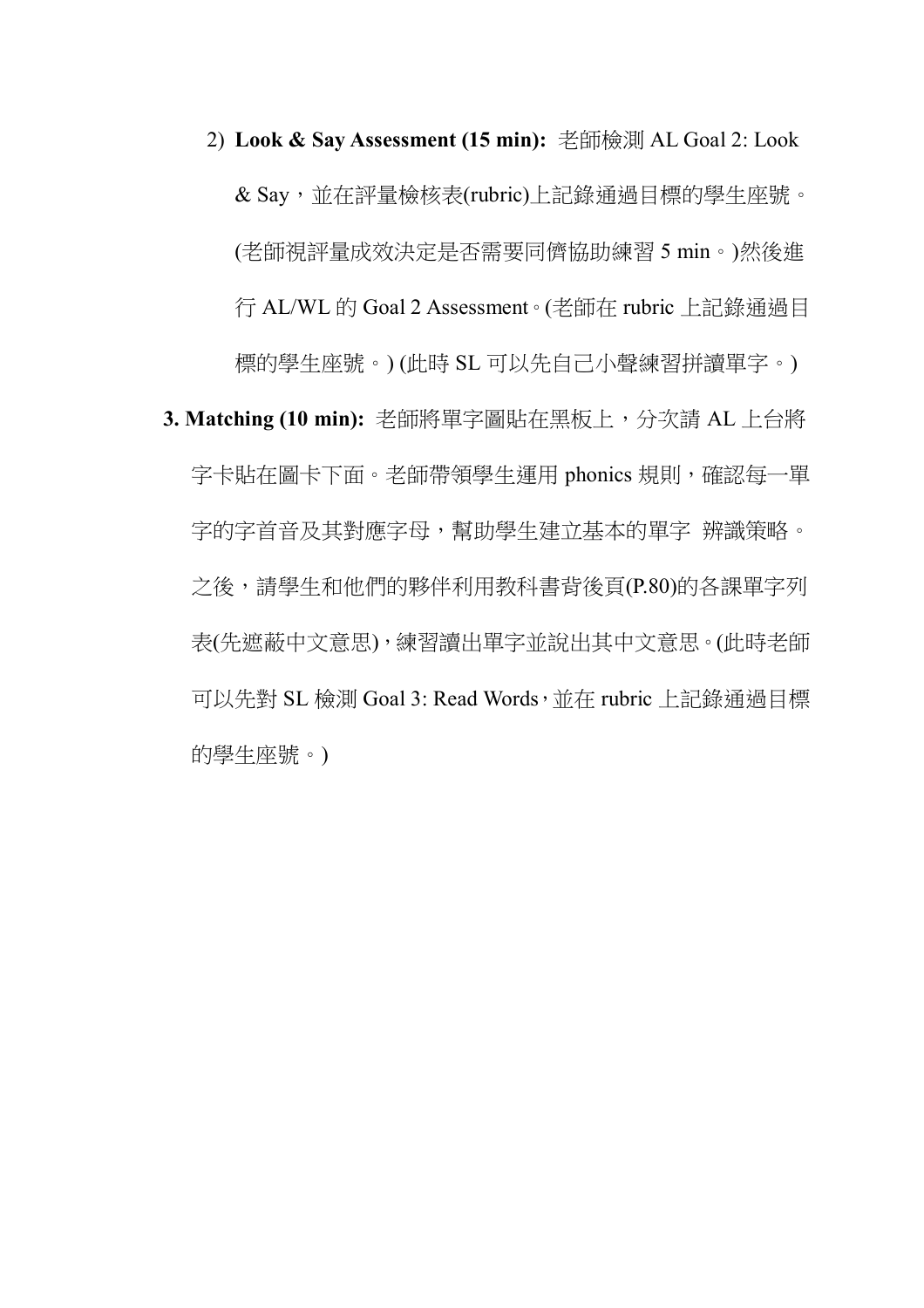- 2) **Look & Say Assessment (15 min):** 老師檢測 AL Goal 2: Look & Say,並在評量檢核表(rubric)上記錄通過目標的學生座號。 (老師視評量成效決定是否需要同儕協助練習 5 min。)然後進 行 AL/WL 的 Goal 2 Assessment。(老師在 rubric 上記錄通過目 標的學生座號。) (此時 SL 可以先自己小聲練習拼讀單字。)
- **3. Matching (10 min):** 老師將單字圖貼在黑板上,分次請 AL 上台將 字卡貼在圖卡下面。老師帶領學生運用 phonics 規則,確認每一單 字的字首音及其對應字母,幫助學生建立基本的單字 辨識策略。 之後,請學生和他們的夥伴利用教科書背後頁(P.80)的各課單字列 表(先遮蔽中文意思),練習讀出單字並說出其中文意思。(此時老師 可以先對 SL 檢測 Goal 3: Read Words, 並在 rubric 上記錄通過目標 的學生座號。)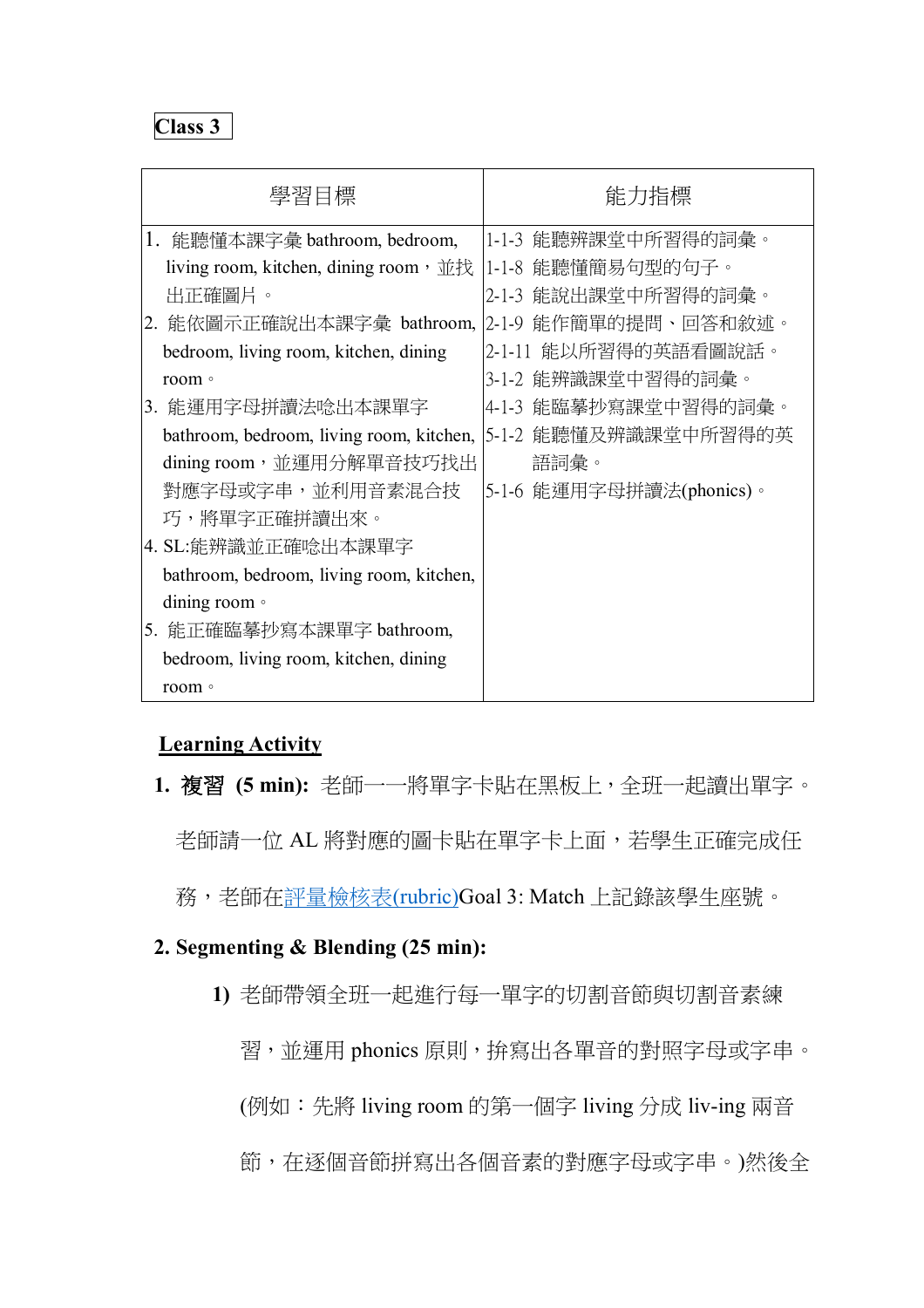| 學習目標                                                           | 能力指標                     |
|----------------------------------------------------------------|--------------------------|
| 1. 能聽懂本課字彙 bathroom, bedroom,                                  | 1-1-3 能聽辨課堂中所習得的詞彙。      |
| living room, kitchen, dining room,並找  1-1-8 能聽懂簡易句型的句子。        |                          |
| 出正確圖片。                                                         | 2-1-3 能說出課堂中所習得的詞彙。      |
| 2. 能依圖示正確說出本課字彙 bathroom, 2-1-9 能作簡單的提問、回答和敘述。                 |                          |
| bedroom, living room, kitchen, dining                          | 2-1-11 能以所習得的英語看圖說話。     |
| room •                                                         | 3-1-2 能辨識課堂中習得的詞彙。       |
| 3. 能運用字母拼讀法唸出本課單字                                              | 4-1-3 能臨摹抄寫課堂中習得的詞彙。     |
| bathroom, bedroom, living room, kitchen, [5-1-2 能聽懂及辨識課堂中所習得的英 |                          |
| dining room,並運用分解單音技巧找出                                        | 語詞彙。                     |
| 對應字母或字串,並利用音素混合技                                               | 5-1-6 能運用字母拼讀法(phonics)。 |
| 巧,將單字正確拼讀出來。                                                   |                          |
| 4. SL:能辨識並正確唸出本課單字                                             |                          |
| bathroom, bedroom, living room, kitchen,                       |                          |
| dining room $\circ$                                            |                          |
| 5. 能正確臨摹抄寫本課單字 bathroom,                                       |                          |
| bedroom, living room, kitchen, dining                          |                          |
| room •                                                         |                          |

## **Learning Activity**

**1.** 複習 **(5 min):** 老師一一將單字卡貼在黑板上,全班一起讀出單字。

老師請一位 AL 將對應的圖卡貼在單字卡上面,若學生正確完成任

務,老師在評量檢核表(rubric)Goal 3: Match 上記錄該學生座號。

## **2. Segmenting & Blending (25 min):**

**1)** 老師帶領全班一起進行每一單字的切割音節與切割音素練

習,並運用 phonics 原則,拚寫出各單音的對照字母或字串。

(例如:先將 living room 的第一個字 living 分成 liv-ing 兩音

節,在逐個音節拼寫出各個音素的對應字母或字串。)然後全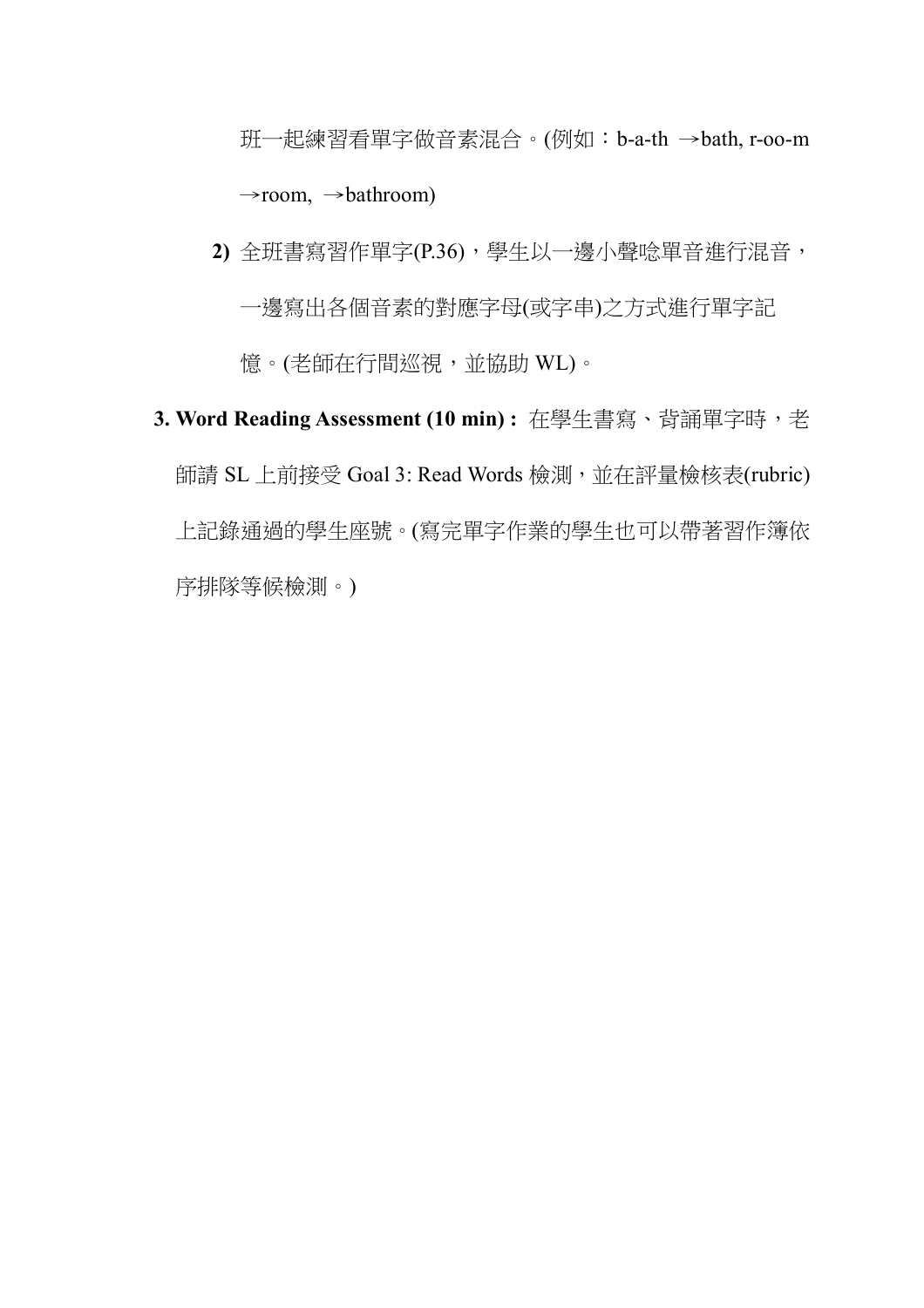班一起練習看單字做音素混合。(例如:b-a-th →bath, r-oo-m  $\rightarrow$ room,  $\rightarrow$ bathroom)

**2)** 全班書寫習作單字(P.36),學生以一邊小聲唸單音進行混音, 一邊寫出各個音素的對應字母(或字串)之方式進行單字記 憶。(老師在行間巡視,並協助 WL)。

# **3. Word Reading Assessment (10 min) :** 在學生書寫、背誦單字時,老 師請 SL 上前接受 Goal 3: Read Words 檢測,並在評量檢核表(rubric) 上記錄通過的學生座號。(寫完單字作業的學生也可以帶著習作簿依 序排隊等候檢測。)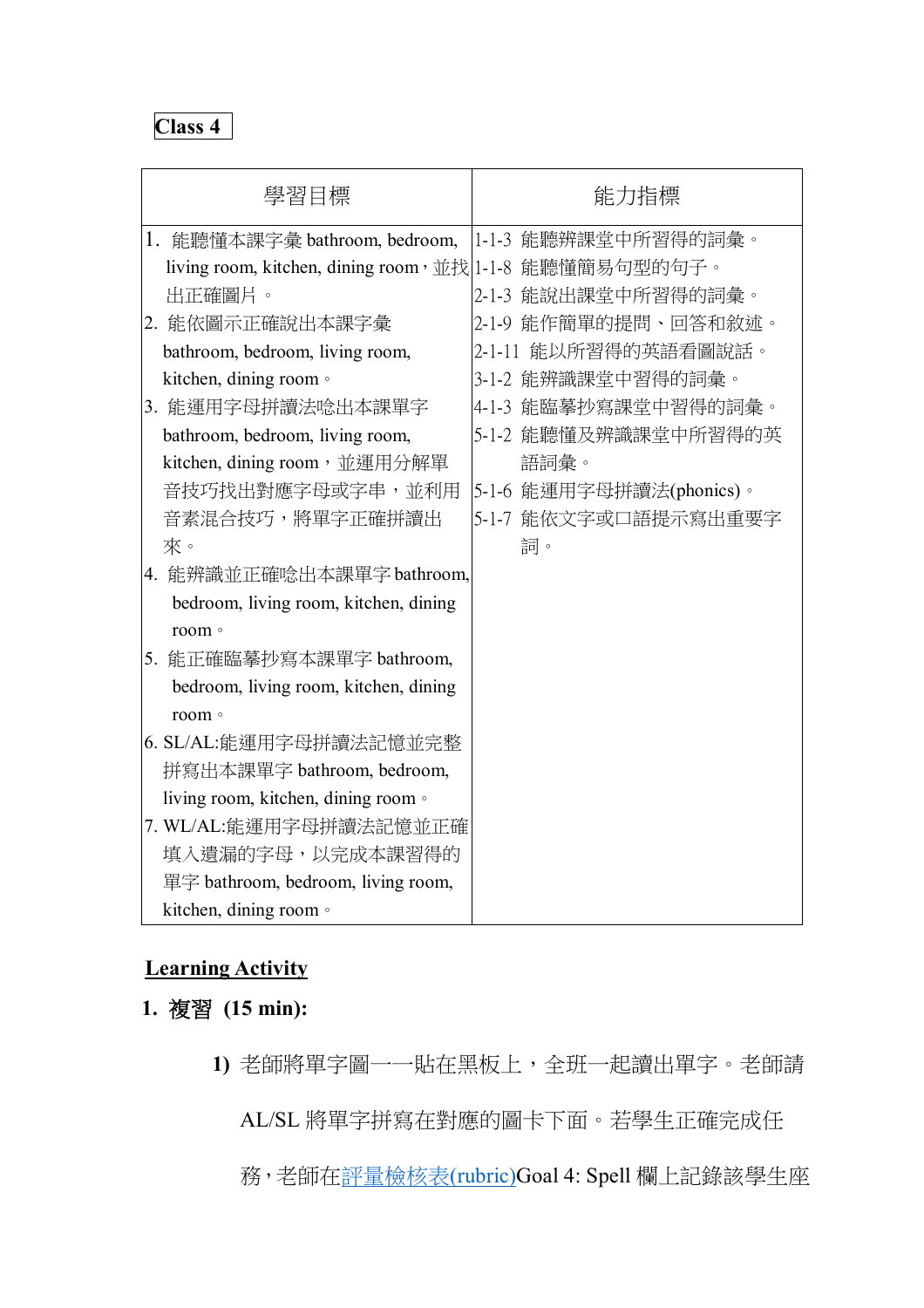|    | 學習目標                                                    | 能力指標                     |
|----|---------------------------------------------------------|--------------------------|
| 1. | 能聽懂本課字彙 bathroom, bedroom,                              | 1-1-3 能聽辨課堂中所習得的詞彙。      |
|    | living room, kitchen, dining room, 並找 1-1-8 能聽懂簡易句型的句子。 |                          |
|    | 出正確圖片。                                                  | 2-1-3 能說出課堂中所習得的詞彙。      |
|    | 2. 能依圖示正確說出本課字彙                                         | 2-1-9 能作簡單的提問、回答和敘述。     |
|    | bathroom, bedroom, living room,                         | 2-1-11 能以所習得的英語看圖說話。     |
|    | kitchen, dining room .                                  | 3-1-2 能辨識課堂中習得的詞彙。       |
|    | 3. 能運用字母拼讀法唸出本課單字                                       | 4-1-3 能臨摹抄寫課堂中習得的詞彙。     |
|    | bathroom, bedroom, living room,                         | 5-1-2 能聽懂及辨識課堂中所習得的英     |
|    | kitchen, dining room, 並運用分解單                            | 語詞彙。                     |
|    | 音技巧找出對應字母或字串,並利用                                        | 5-1-6 能運用字母拼讀法(phonics)。 |
|    | 音素混合技巧,將單字正確拼讀出                                         | 5-1-7 能依文字或口語提示寫出重要字     |
|    | 來。                                                      | 詞。                       |
|    | 4. 能辨識並正確唸出本課單字 bathroom,                               |                          |
|    | bedroom, living room, kitchen, dining                   |                          |
|    | room 。                                                  |                          |
|    | 5. 能正確臨摹抄寫本課單字 bathroom,                                |                          |
|    | bedroom, living room, kitchen, dining                   |                          |
|    | room 。                                                  |                          |
|    | 6. SL/AL:能運用字母拼讀法記憶並完整                                  |                          |
|    | 拼寫出本課單字 bathroom, bedroom,                              |                          |
|    | living room, kitchen, dining room .                     |                          |
|    | 7. WL/AL:能運用字母拼讀法記憶並正確                                  |                          |
|    | 填入遺漏的字母,以完成本課習得的                                        |                          |
|    | 單字 bathroom, bedroom, living room,                      |                          |
|    | kitchen, dining room ·                                  |                          |

## **Learning Activity**

- **1.** 複習 **(15 min):** 
	- **1)** 老師將單字圖一一貼在黑板上,全班一起讀出單字。老師請

AL/SL 將單字拼寫在對應的圖卡下面。若學生正確完成任

務,老師在評量檢核表(rubric)Goal 4: Spell 欄上記錄該學生座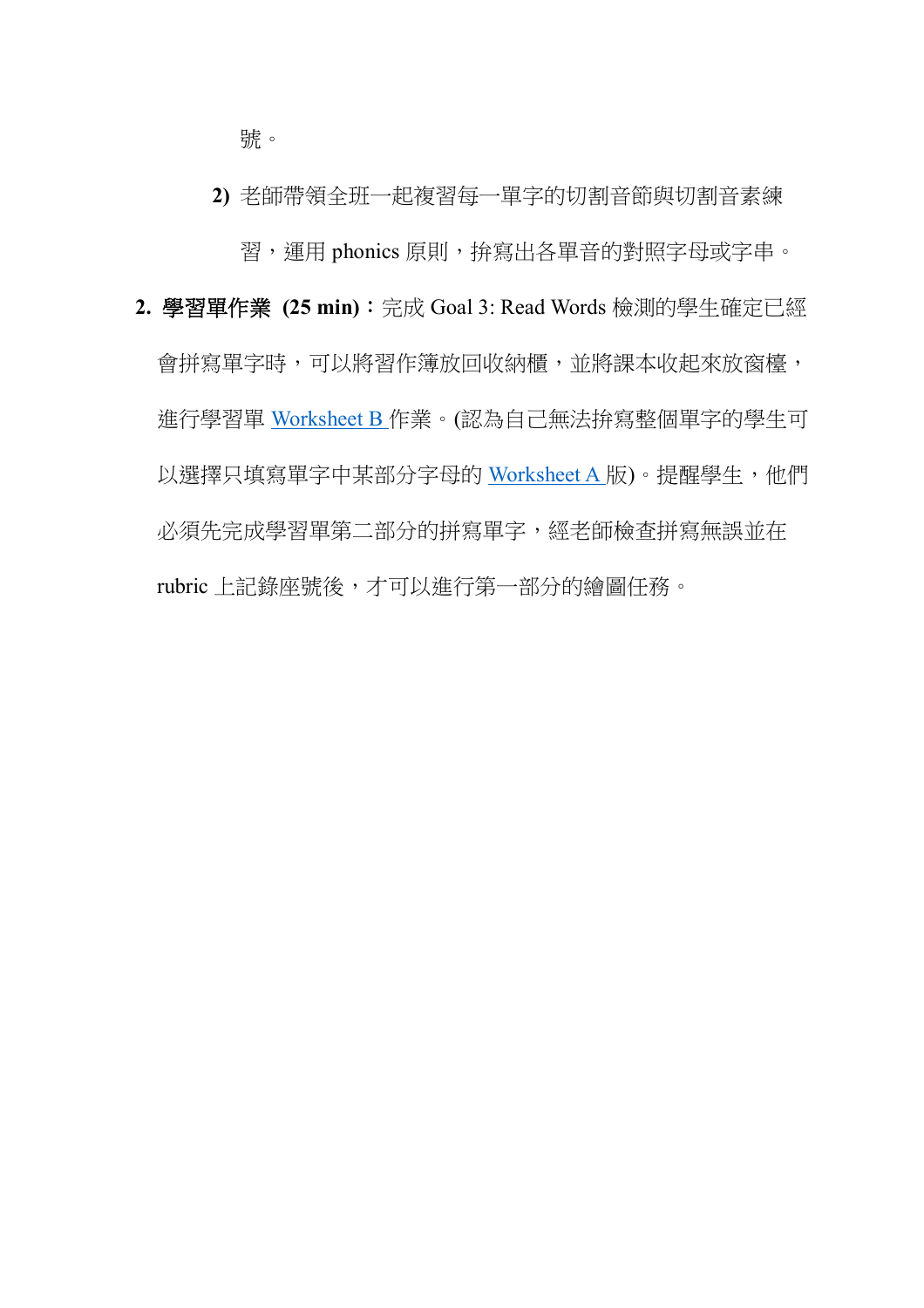號。

**2)** 老師帶領全班一起複習每一單字的切割音節與切割音素練 習,運用 phonics 原則,拚寫出各單音的對照字母或字串。

**2.** 學習單作業 **(25 min)**:完成 Goal 3: Read Words 檢測的學生確定已經 會拼寫單字時,可以將習作簿放回收納櫃,並將課本收起來放窗檯, 進行學習單 Worksheet B 作業。(認為自己無法拚寫整個單字的學生可 以選擇只填寫單字中某部分字母的 Worksheet A 版)。提醒學生,他們 必須先完成學習單第二部分的拼寫單字,經老師檢查拼寫無誤並在 rubric 上記錄座號後,才可以進行第一部分的繪圖任務。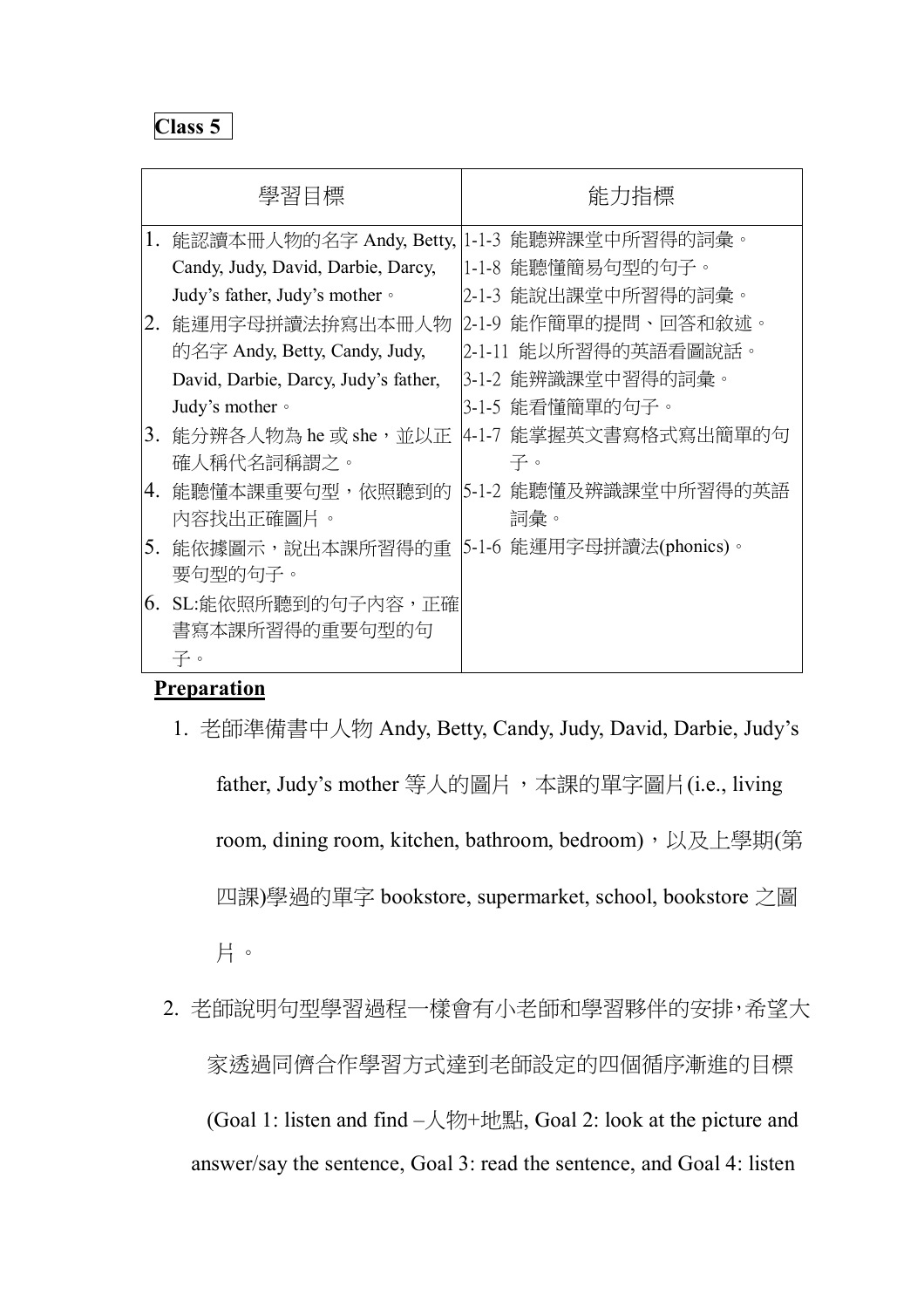|    | 學習目標                                 | 能力指標                     |
|----|--------------------------------------|--------------------------|
| 1. | 能認讀本冊人物的名字 Andy, Betty,              | 1-1-3 能聽辨課堂中所習得的詞彙。      |
|    | Candy, Judy, David, Darbie, Darcy,   | 1-1-8 能聽懂簡易句型的句子。        |
|    | Judy's father, Judy's mother •       | 2-1-3 能說出課堂中所習得的詞彙。      |
| 2. | 能運用字母拼讀法拚寫出本冊人物                      | 2-1-9 能作簡單的提問、回答和敘述。     |
|    | 的名字 Andy, Betty, Candy, Judy,        | 2-1-11 能以所習得的英語看圖說話。     |
|    | David, Darbie, Darcy, Judy's father, | 3-1-2 能辨識課堂中習得的詞彙。       |
|    | Judy's mother $\circ$                | 3-1-5 能看懂簡單的句子。          |
| 3. | 能分辨各人物為 he 或 she,並以正                 | 4-1-7 能掌握英文書寫格式寫出簡單的句    |
|    | 確人稱代名詞稱謂之。                           | 子。                       |
| 4. | 能聽懂本課重要句型,依照聽到的                      | 5-1-2 能聽懂及辨識課堂中所習得的英語    |
|    | 內容找出正確圖片。                            | 詞彙。                      |
| 5. | 能依據圖示,說出本課所習得的重                      | 5-1-6 能運用字母拼讀法(phonics)。 |
|    | 要句型的句子。                              |                          |
| 6. | SL:能依照所聽到的句子內容,正確                    |                          |
|    | 書寫本課所習得的重要句型的句                       |                          |
|    | 子。                                   |                          |

## **Preparation**

1. 老師準備書中人物 Andy, Betty, Candy, Judy, David, Darbie, Judy's

father, Judy's mother 等人的圖片,本課的單字圖片(i.e., living room, dining room, kitchen, bathroom, bedroom), 以及上學期(第 四課)學過的單字 bookstore, supermarket, school, bookstore 之圖 片。

2. 老師說明句型學習過程一樣會有小老師和學習夥伴的安排,希望大 家透過同儕合作學習方式達到老師設定的四個循序漸進的目標

(Goal 1: listen and find  $-\sqrt{\frac{2m}{m}}$ )  $+\frac{1}{m}$ , Goal 2: look at the picture and answer/say the sentence, Goal 3: read the sentence, and Goal 4: listen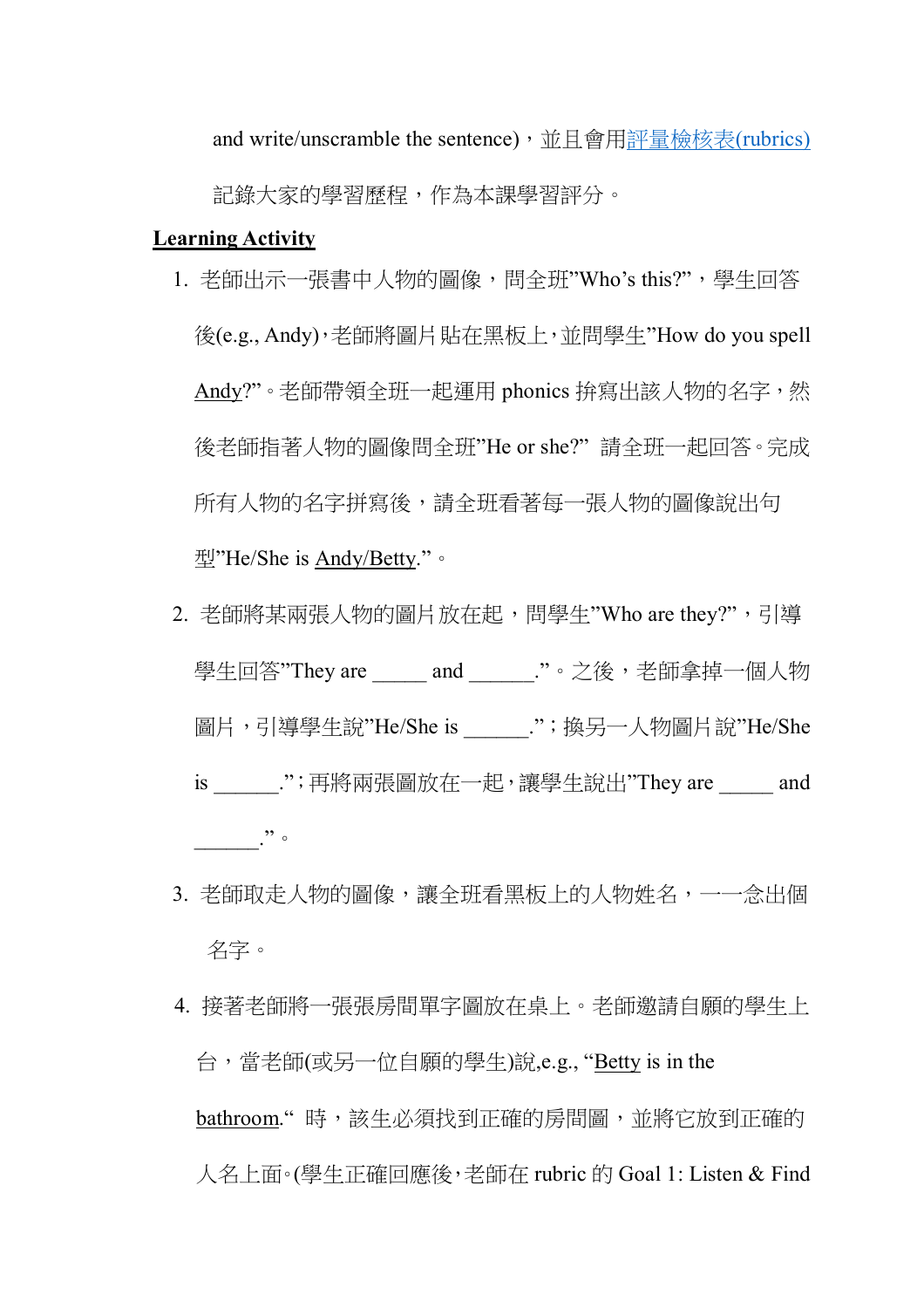and write/unscramble the sentence), 並且會用評量檢核表(rubrics)

記錄大家的學習歷程,作為本課學習評分。

#### **Learning Activity**

- 1. 老師出示一張書中人物的圖像,問全班"Who's this?",學生回答 後(e.g., Andy),老師將圖片貼在黑板上,並問學生"How do you spell Andy?"。老師帶領全班一起運用 phonics 拚寫出該人物的名字,然 後老師指著人物的圖像問全班"He or she?" 請全班一起回答。完成 所有人物的名字拼寫後,請全班看著每一張人物的圖像說出句 型"He/She is Andy/Betty."。
- 2. 老師將某兩張人物的圖片放在起,問學生"Who are they?",引導 學生回答"They are \_\_\_\_\_ and \_\_\_\_\_\_."。之後,老師拿掉一個人物 圖片,引導學生說"He/She is \_\_\_\_\_\_.";換另一人物圖片說"He/She is .";再將兩張圖放在一起,讓學生說出"They are \_\_\_\_\_ and  $\cdot$   $\cdot$   $\cdot$   $\cdot$
- 3. 老師取走人物的圖像,讓全班看黑板上的人物姓名,一一念出個 名字。
- 4. 接著老師將一張張房間單字圖放在桌上。老師邀請自願的學生上 台,當老師(或另一位自願的學生)說,e.g., "Betty is in the bathroom." 時,該生必須找到正確的房間圖,並將它放到正確的 人名上面。(學生正確回應後,老師在 rubric 的 Goal 1: Listen & Find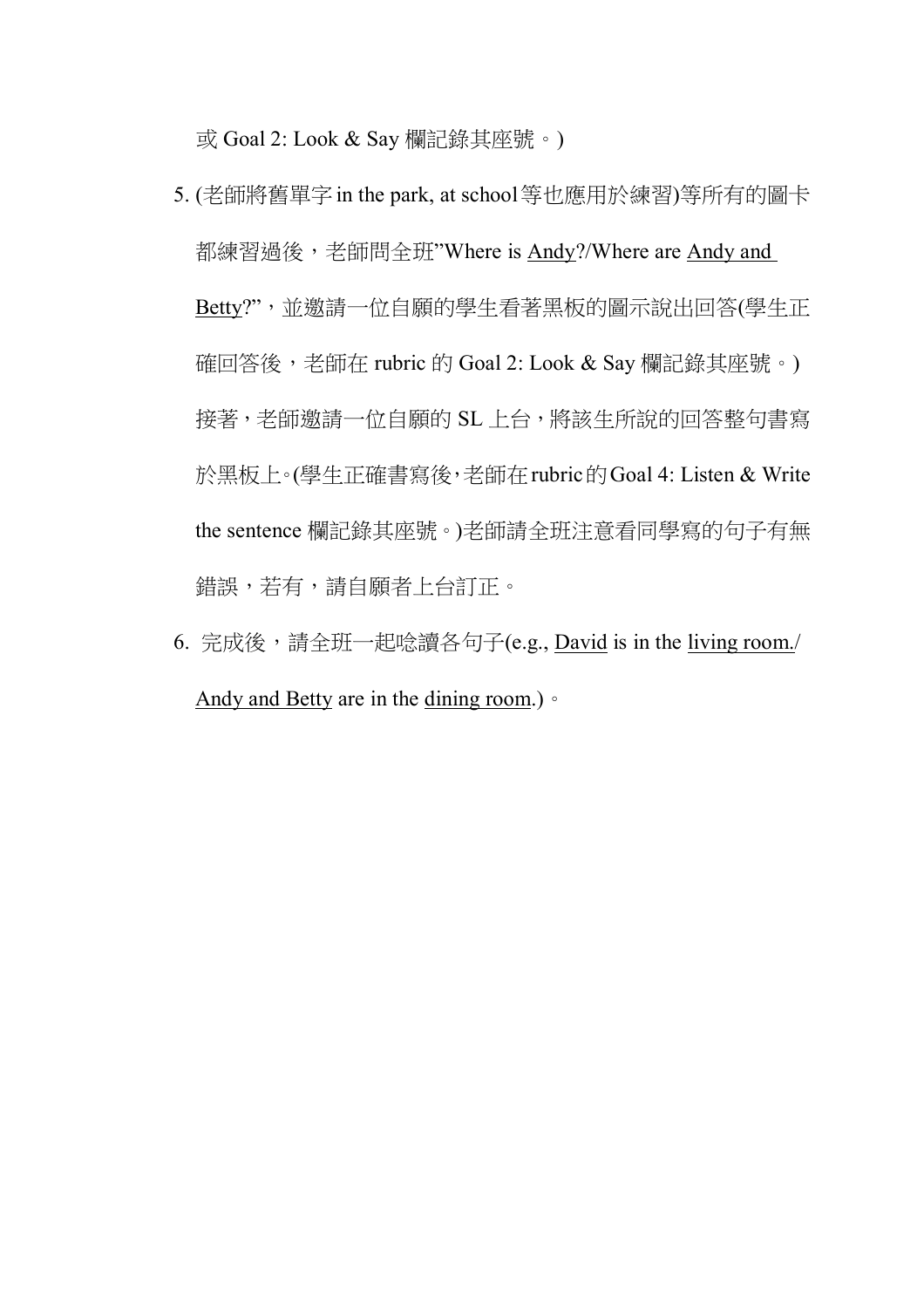或 Goal 2: Look & Say 欄記錄其座號。)

- 5. (老師將舊單字in the park, at school等也應用於練習)等所有的圖卡 都練習過後,老師問全班"Where is Andy?/Where are Andy and Betty?",並邀請一位自願的學生看著黑板的圖示說出回答(學生正 確回答後,老師在 rubric 的 Goal 2: Look & Say 欄記錄其座號。) 接著,老師邀請一位自願的 SL 上台,將該生所說的回答整句書寫 於黑板上。(學生正確書寫後,老師在rubric的Goal 4: Listen & Write the sentence 欄記錄其座號。)老師請全班注意看同學寫的句子有無 錯誤,若有,請自願者上台訂正。
- 6. 完成後,請全班一起唸讀各句子(e.g., David is in the living room./ Andy and Betty are in the dining room.)。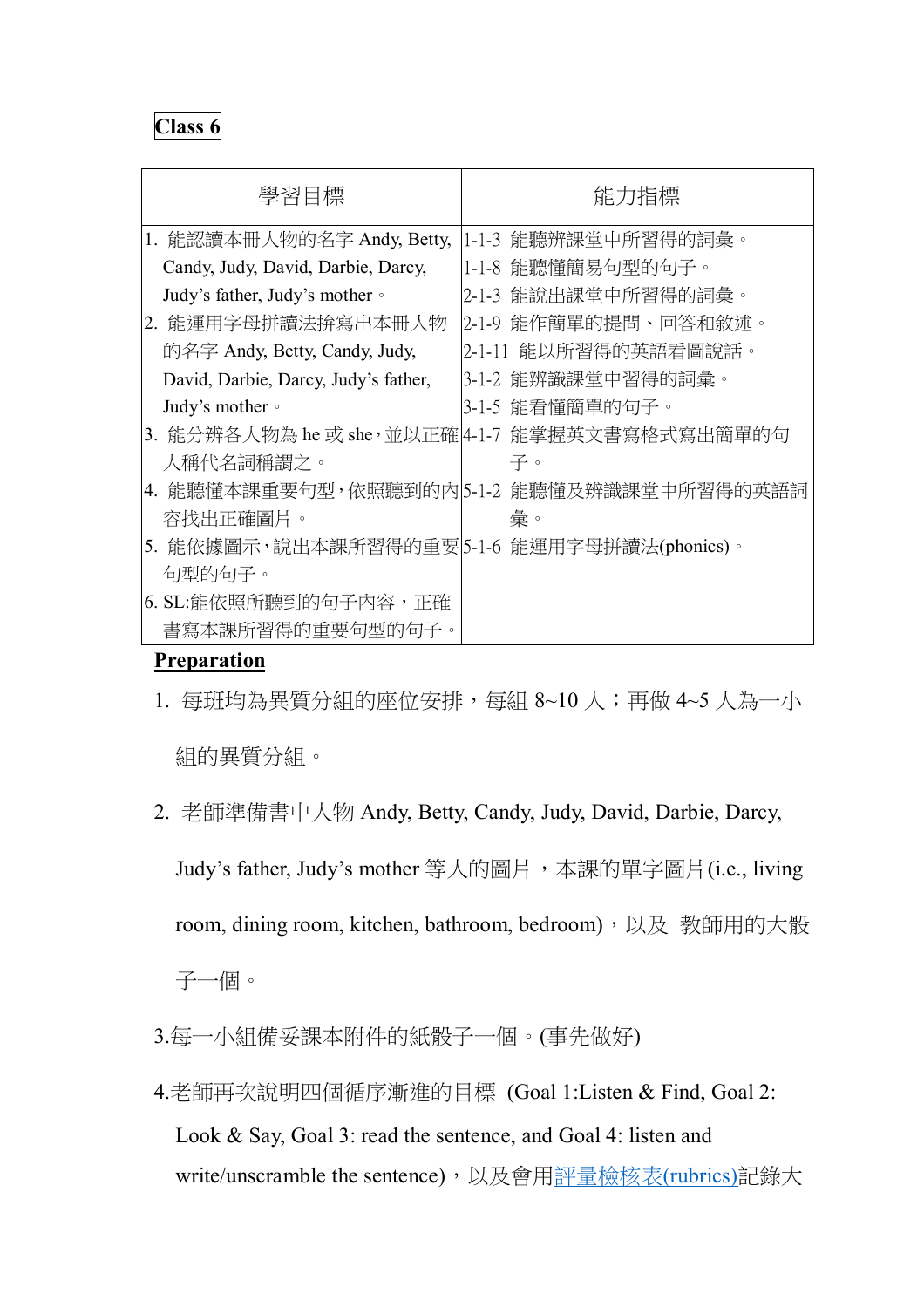| 學習目標                                         | 能力指標                                           |
|----------------------------------------------|------------------------------------------------|
| 1. 能認讀本冊人物的名字 Andy, Betty,                   | 1-1-3 能聽辨課堂中所習得的詞彙。                            |
| Candy, Judy, David, Darbie, Darcy,           | 1-1-8 能聽懂簡易句型的句子。                              |
| Judy's father, Judy's mother •               | 2-1-3 能說出課堂中所習得的詞彙。                            |
| 2. 能運用字母拼讀法拚寫出本冊人物                           | 2-1-9 能作簡單的提問、回答和敘述。                           |
| 的名字 Andy, Betty, Candy, Judy,                | 2-1-11 能以所習得的英語看圖說話。                           |
| David, Darbie, Darcy, Judy's father,         | 3-1-2 能辨識課堂中習得的詞彙。                             |
| Judy's mother •                              | 3-1-5 能看懂簡單的句子。                                |
|                                              | 3. 能分辨各人物為 he 或 she,並以正確 4-1-7 能掌握英文書寫格式寫出簡單的句 |
| 人稱代名詞稱謂之。                                    | 子。                                             |
|                                              | 4. 能聽懂本課重要句型,依照聽到的內 5-1-2 能聽懂及辨識課堂中所習得的英語詞     |
| 容找出正確圖片。                                     | 彙。                                             |
| 5. 能依據圖示,說出本課所習得的重要 5-1-6 能運用字母拼讀法(phonics)。 |                                                |
| 句型的句子。                                       |                                                |
| 6. SL:能依照所聽到的句子內容,正確                         |                                                |
| 書寫本課所習得的重要句型的句子。                             |                                                |

#### **Preparation**

1. 每班均為異質分組的座位安排,每組 8~10 人;再做 4~5 人為一小

組的異質分組。

2. 老師準備書中人物 Andy, Betty, Candy, Judy, David, Darbie, Darcy,

Judy's father, Judy's mother 等人的圖片,本課的單字圖片(i.e., living

room, dining room, kitchen, bathroom, bedroom), 以及 教師用的大骰

子一個。

- 3.每一小組備妥課本附件的紙骰子一個。(事先做好)
- 4.老師再次說明四個循序漸進的目標 (Goal 1:Listen & Find, Goal 2: Look & Say, Goal 3: read the sentence, and Goal 4: listen and write/unscramble the sentence),以及會用評量檢核表(rubrics)記錄大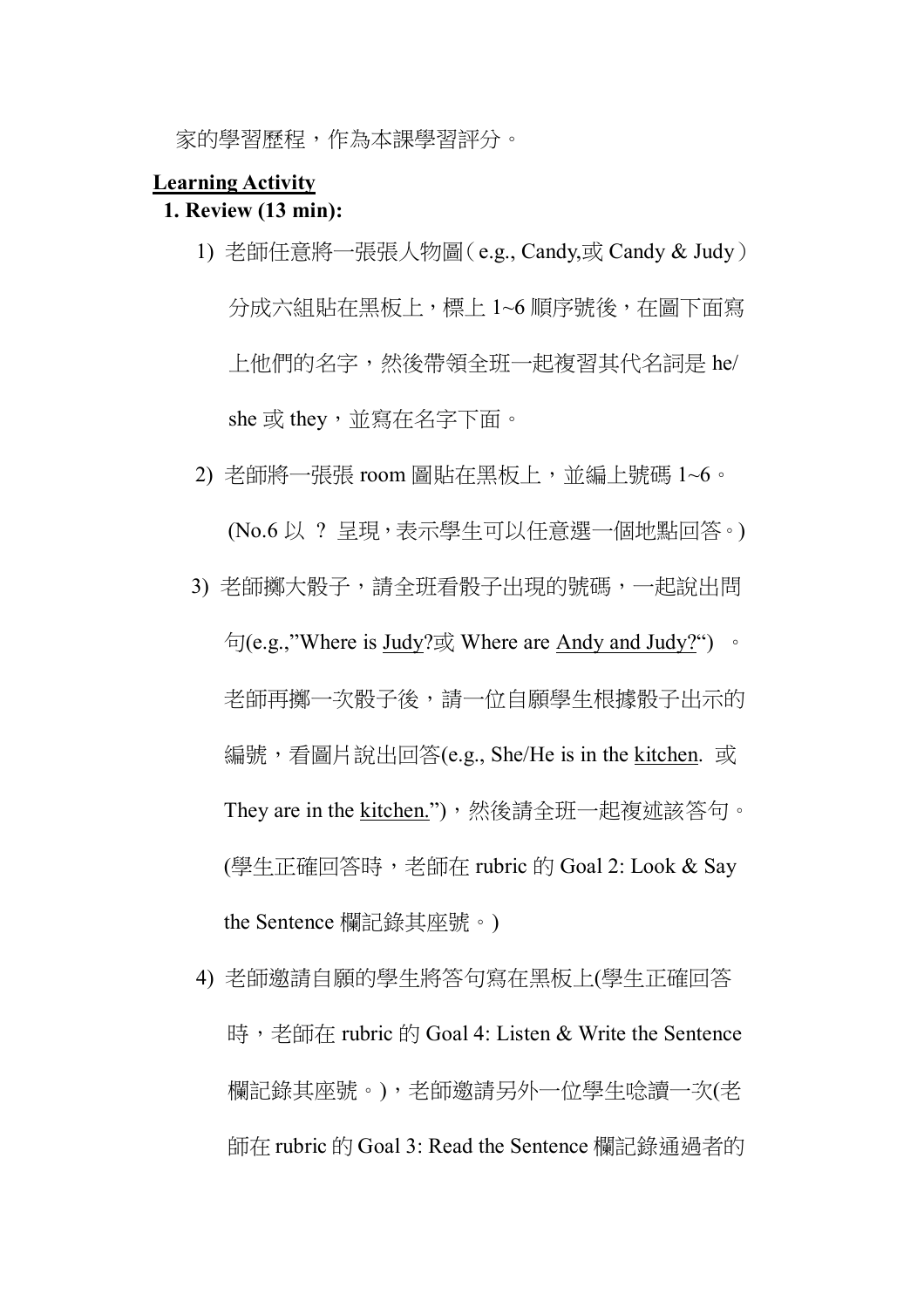家的學習歷程,作為本課學習評分。

#### **Learning Activity**

#### **1. Review (13 min):**

- 1) 老師任意將一張張人物圖(e.g., Candy,或 Candy & Judy) 分成六組貼在黑板上,標上 1~6 順序號後, 在圖下面寫 上他們的名字,然後帶領全班一起複習其代名詞是 he/ she 或 they,並寫在名字下面。
- 2) 老師將一張張 room 圖貼在黑板上,並編上號碼 1~6。

(No.6 以 ? 呈現,表示學生可以任意選一個地點回答。)

- 3) 老師擲大骰子,請全班看骰子出現的號碼,一起說出問  $\overline{\text{th}}$ (e.g.,"Where is Judy?或 Where are Andy and Judy?") 。 老師再擲一次骰子後,請一位自願學生根據骰子出示的 編號,看圖片說出回答(e.g., She/He is in the kitchen. 或 They are in the kitchen."),然後請全班一起複述該答句。 (學生正確回答時,老師在 rubric 的 Goal 2: Look & Say the Sentence 欄記錄其座號。)
- 4) 老師邀請自願的學生將答句寫在黑板上(學生正確回答 時,老師在 rubric 的 Goal 4: Listen & Write the Sentence 欄記錄其座號。),老師邀請另外一位學生唸讀一次(老 師在 rubric 的 Goal 3: Read the Sentence 欄記錄通過者的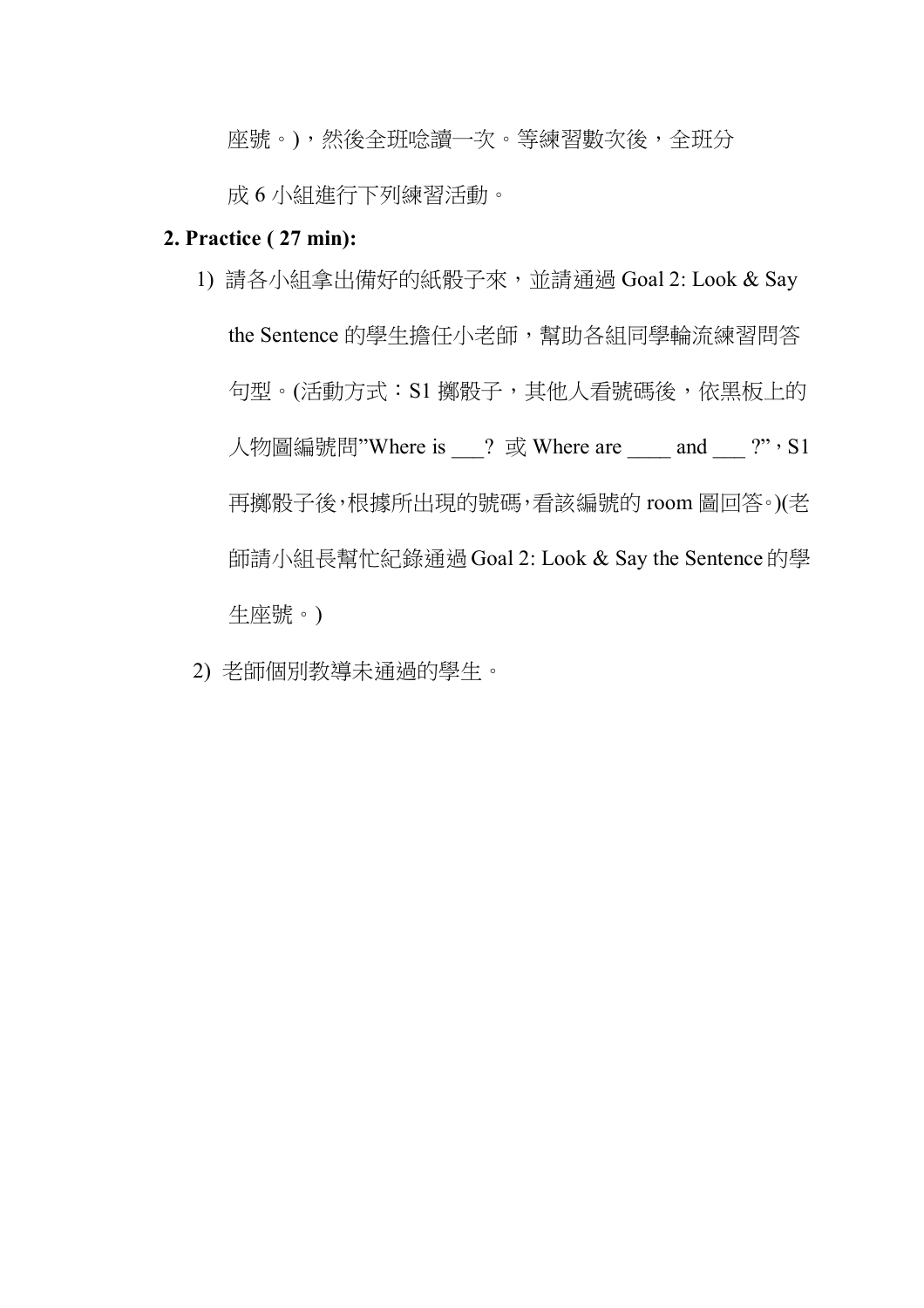座號。),然後全班唸讀一次。等練習數次後,全班分

成 6 小組進行下列練習活動。

#### **2. Practice ( 27 min):**

- 1) 請各小組拿出備好的紙骰子來,並請通過 Goal 2: Look & Say the Sentence 的學生擔任小老師,幫助各組同學輪流練習問答 句型。(活動方式: S1 擲骰子, 其他人看號碼後, 依黑板上的 人物圖編號問"Where is 2 或 Where are and 2", S1 再擲骰子後,根據所出現的號碼,看該編號的 room 圖回答。)(老 師請小組長幫忙紀錄通過 Goal 2: Look & Say the Sentence 的學 生座號。)
- 2) 老師個別教導未通過的學生。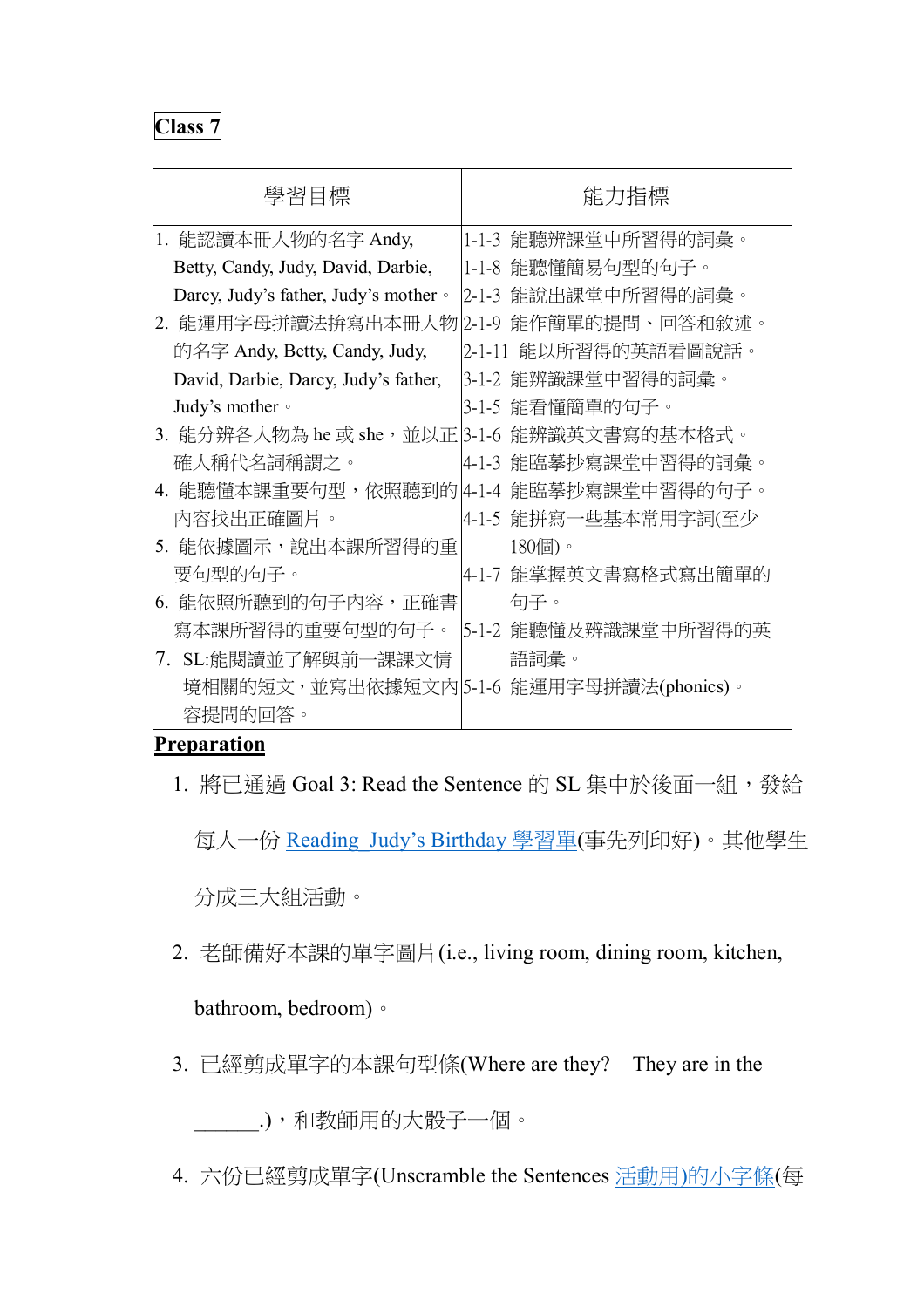| 學習目標                                        | 能力指標                                     |
|---------------------------------------------|------------------------------------------|
| 1. 能認讀本冊人物的名字 Andy,                         | 1-1-3 能聽辨課堂中所習得的詞彙。                      |
| Betty, Candy, Judy, David, Darbie,          | 1-1-8 能聽懂簡易句型的句子。                        |
| Darcy, Judy's father, Judy's mother .       | 2-1-3 能說出課堂中所習得的詞彙。                      |
| 2. 能運用字母拼讀法拚寫出本冊人物                          | 能作簡單的提問、回答和敘述。<br>$2 - 1 - 9$            |
| 的名字 Andy, Betty, Candy, Judy,               | 2-1-11 能以所習得的英語看圖說話。                     |
| David, Darbie, Darcy, Judy's father,        | 3-1-2 能辨識課堂中習得的詞彙。                       |
| Judy's mother •                             | 3-1-5 能看懂簡單的句子。                          |
| 3. 能分辨各人物為 he 或 she,並以正 3-1-6 能辨識英文書寫的基本格式。 |                                          |
| 確人稱代名詞稱謂之。                                  | 4-1-3 能臨摹抄寫課堂中習得的詞彙。                     |
|                                             | 4. 能聽懂本課重要句型,依照聽到的 4-1-4 能臨摹抄寫課堂中習得的句子。  |
| 內容找出正確圖片。                                   | 4-1-5 能拼寫一些基本常用字詞(至少                     |
| 5. 能依據圖示,說出本課所習得的重                          | $180$ 個)。                                |
| 要句型的句子。                                     | 4-1-7 能掌握英文書寫格式寫出簡單的                     |
| 6. 能依照所聽到的句子內容,正確書                          | 句子。                                      |
| 寫本課所習得的重要句型的句子。                             | 5-1-2 能聽懂及辨識課堂中所習得的英                     |
| SL:能閱讀並了解與前一課課文情<br>7.                      | 語詞彙。                                     |
|                                             | 境相關的短文,並寫出依據短文內 5-1-6 能運用字母拼讀法(phonics)。 |
| 容提問的回答。                                     |                                          |

## **Preparation**

1. 將已通過 Goal 3: Read the Sentence 的 SL 集中於後面一組,發給

每人一份 Reading Judy's Birthday 學習單(事先列印好)。其他學生

分成三大組活動。

2. 老師備好本課的單字圖片(i.e., living room, dining room, kitchen,

## bathroom, bedroom)。

3. 已經剪成單字的本課句型條(Where are they? They are in the

\_\_\_\_\_\_.),和教師用的大骰子一個。

4. 六份已經剪成單字(Unscramble the Sentences 活動用)的小字條(每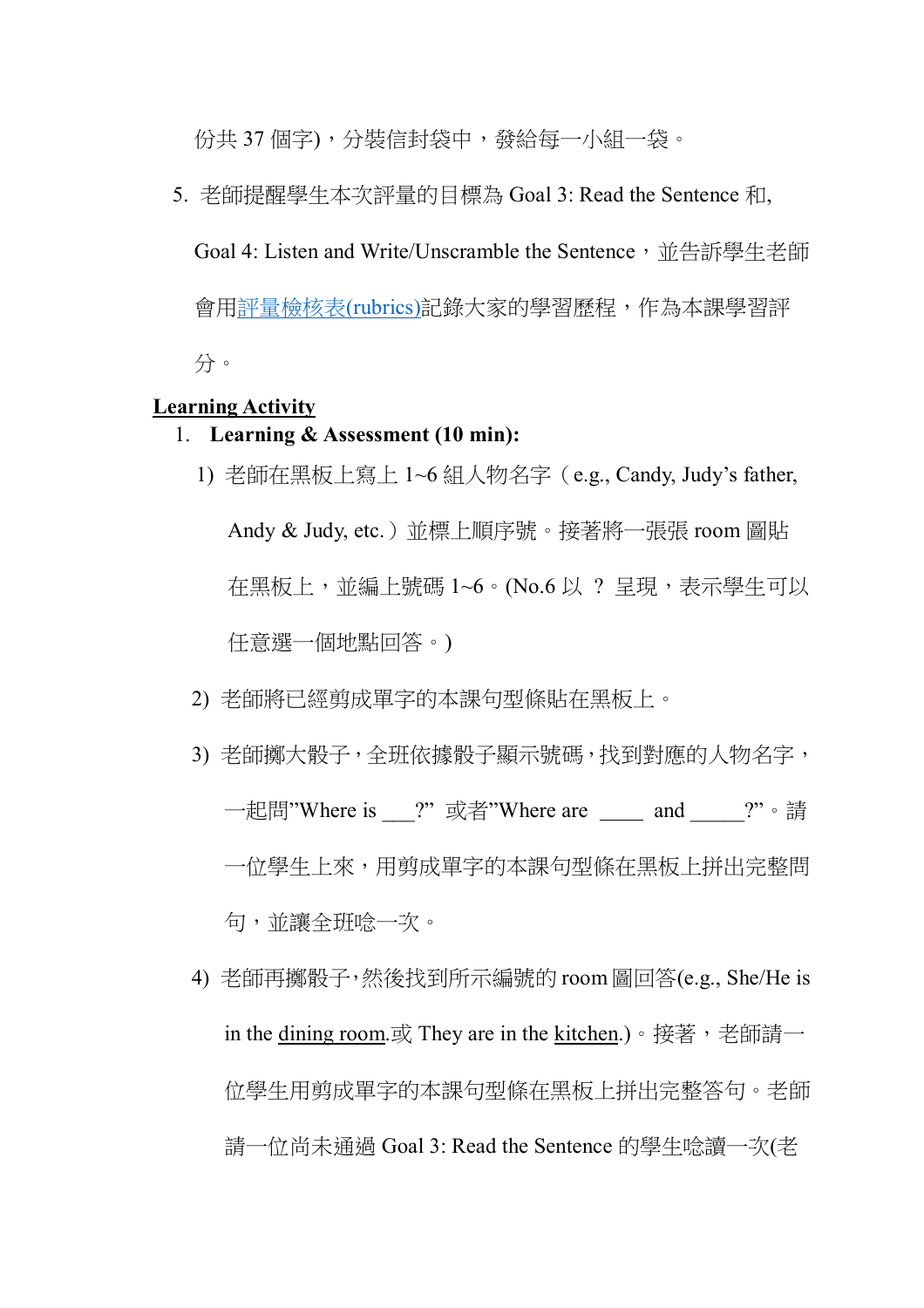份共 37 個字),分裝信封袋中,發給每一小組一袋。

5. 老師提醒學生本次評量的目標為 Goal 3: Read the Sentence 和, Goal 4: Listen and Write/Unscramble the Sentence, 並告訴學生老師 會用評量檢核表(rubrics)記錄大家的學習歷程,作為本課學習評

分。

#### **Learning Activity**

- 1. **Learning & Assessment (10 min):**
	- 1) 老師在黑板上寫上 1~6 組人物名字(e.g., Candy, Judy's father, Andy & Judy, etc.)並標上順序號。接著將一張張 room 圖貼 在黑板上,並編上號碼 1~6。(No.6 以 ? 呈現,表示學生可以 任意選一個地點回答。)
	- 2) 老師將已經剪成單字的本課句型條貼在黑板上。
	- 3) 老師擲大骰子,全班依據骰子顯示號碼,找到對應的人物名字, 一起問"Where is ?" 或者"Where are and ?"。請 一位學生上來,用剪成單字的本課句型條在黑板上拼出完整問 句,並讓全班唸一次。
	- 4) 老師再擲骰子,然後找到所示編號的 room 圖回答(e.g., She/He is in the dining room.或 They are in the kitchen.)。接著,老師請一 位學生用剪成單字的本課句型條在黑板上拼出完整答句。老師 請一位尚未通過 Goal 3: Read the Sentence 的學生唸讀一次(老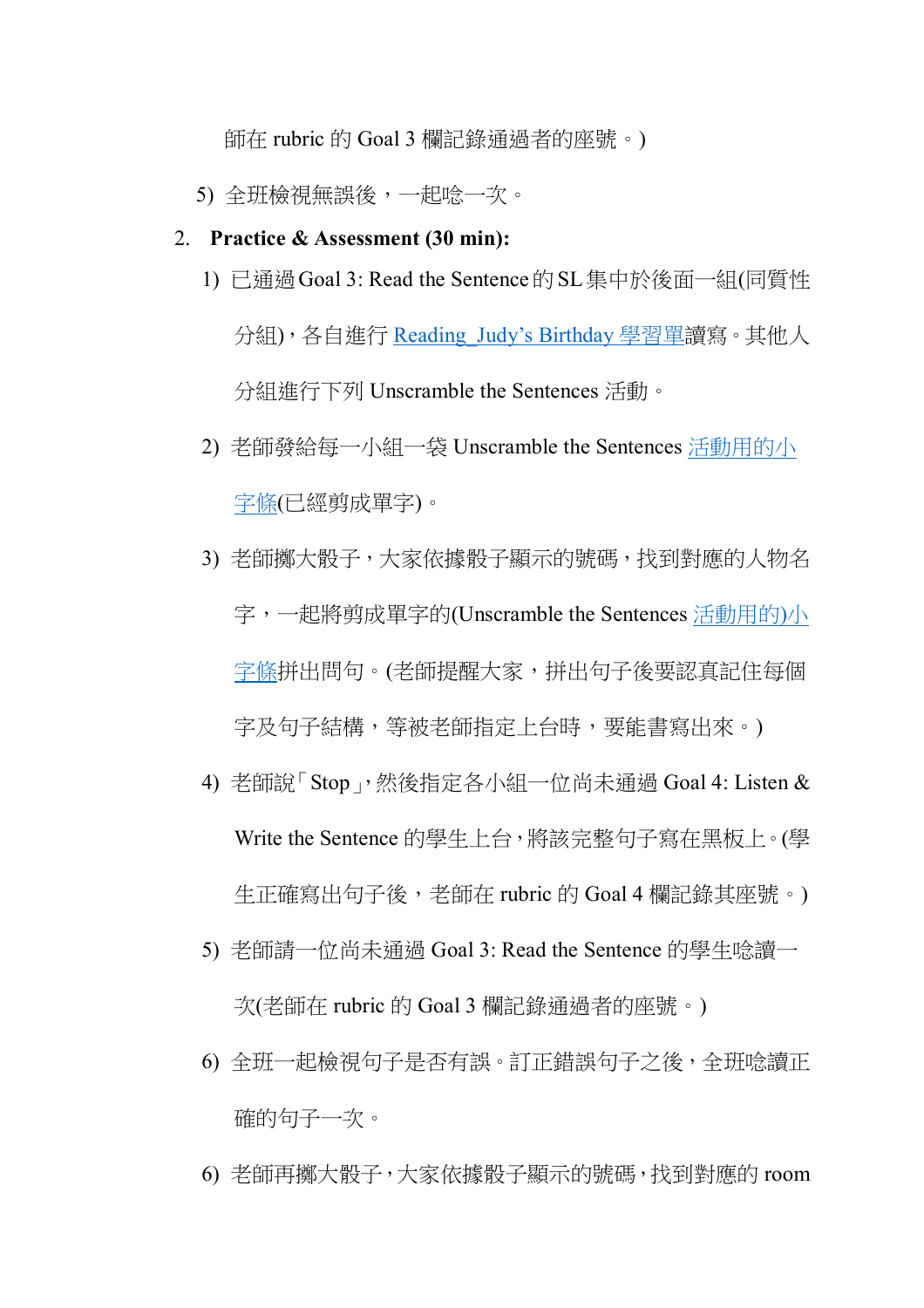師在 rubric 的 Goal 3 欄記錄通過者的座號。)

- 5) 全班檢視無誤後,一起唸一次。
- 2. **Practice & Assessment (30 min):**
	- 1) 已通過Goal 3: Read the Sentence的SL集中於後面一組(同質性

分組),各自進行 Reading\_Judy's Birthday 學習單讀寫。其他人 分組進行下列 Unscramble the Sentences 活動。

- 2) 老師發給每一小組一袋 Unscramble the Sentences 活動用的小 字條(已經剪成單字)。
- 3) 老師擲大骰子,大家依據骰子顯示的號碼,找到對應的人物名 字,一起將剪成單字的(Unscramble the Sentences 活動用的)小 字條拼出問句。(老師提醒大家,拼出句子後要認真記住每個 字及句子結構,等被老師指定上台時,要能書寫出來。)
- 4) 老師說「Stop」,然後指定各小組一位尚未通過 Goal 4: Listen & Write the Sentence 的學生上台,將該完整句子寫在黑板上。(學 生正確寫出句子後,老師在 rubric 的 Goal 4 欄記錄其座號。)
- 5) 老師請一位尚未通過 Goal 3: Read the Sentence 的學生唸讀一 次(老師在 rubric 的 Goal 3 欄記錄通過者的座號。)
- 6) 全班一起檢視句子是否有誤。訂正錯誤句子之後,全班唸讀正 確的句子一次。
- 6) 老師再擲大骰子,大家依據骰子顯示的號碼,找到對應的 room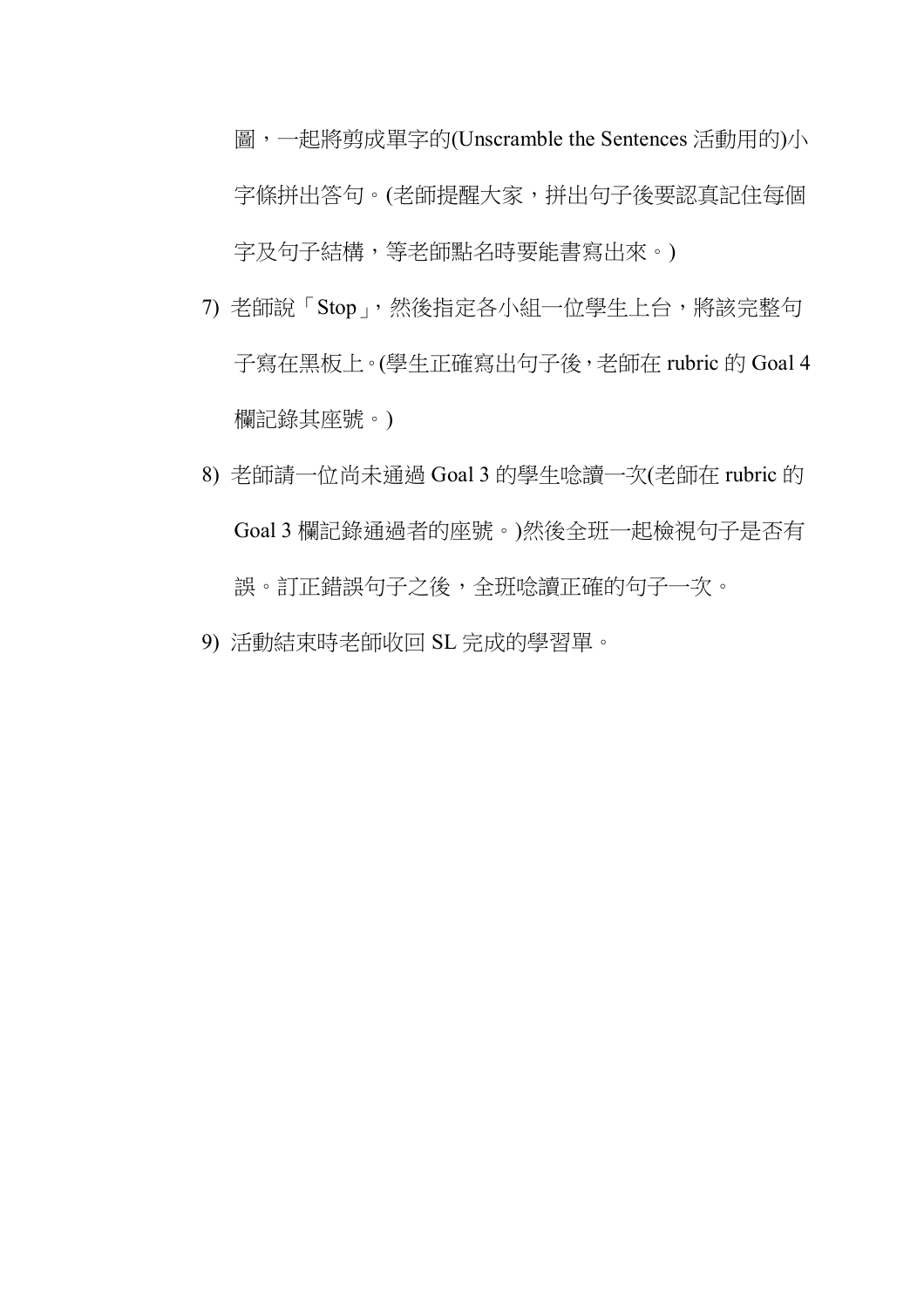圖,一起將剪成單字的(Unscramble the Sentences 活動用的)小 字條拼出答句。(老師提醒大家,拼出句子後要認真記住每個 字及句子結構,等老師點名時要能書寫出來。)

- 7) 老師說「Stop」,然後指定各小組一位學生上台,將該完整句 子寫在黑板上。(學生正確寫出句子後,老師在 rubric 的 Goal 4 欄記錄其座號。)
- 8) 老師請一位尚未通過 Goal 3 的學生唸讀一次(老師在 rubric 的 Goal 3 欄記錄通過者的座號。)然後全班一起檢視句子是否有 誤。訂正錯誤句子之後,全班唸讀正確的句子一次。
- 9) 活動結束時老師收回 SL 完成的學習單。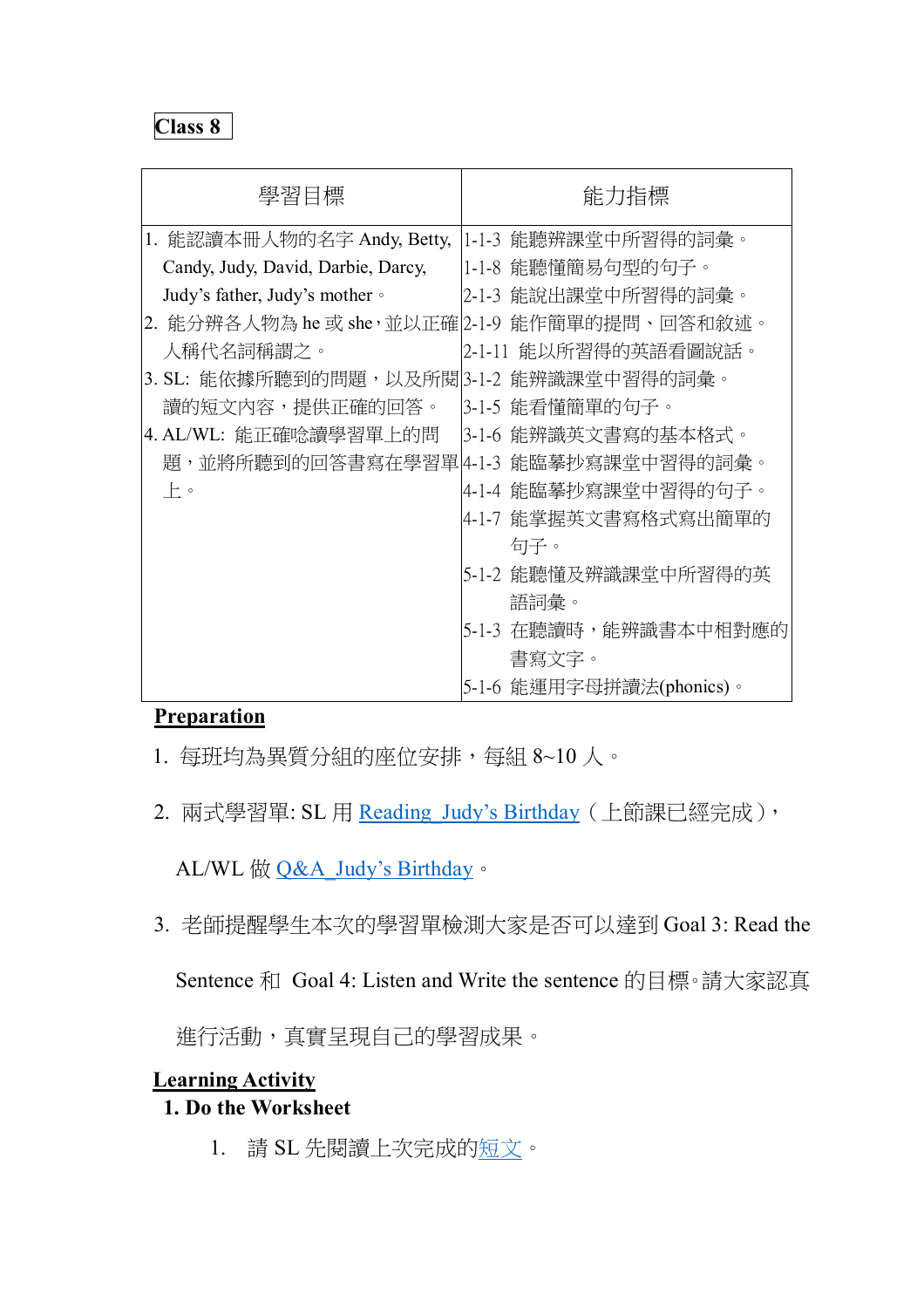| 學習目標                                          | 能力指標                                  |
|-----------------------------------------------|---------------------------------------|
| 1. 能認讀本冊人物的名字 Andy, Betty,                    | 1-1-3 能聽辨課堂中所習得的詞彙。                   |
| Candy, Judy, David, Darbie, Darcy,            | 1-1-8 能聽懂簡易句型的句子。                     |
| Judy's father, Judy's mother $\circ$          | 2-1-3 能說出課堂中所習得的詞彙。                   |
| 2. 能分辨各人物為 he 或 she,並以正確 2-1-9 能作簡單的提問、回答和敘述。 |                                       |
| 人稱代名詞稱謂之。                                     | 2-1-11 能以所習得的英語看圖說話。                  |
| 3. SL: 能依據所聽到的問題,以及所閱 3-1-2 能辨識課堂中習得的詞彙。      |                                       |
| 讀的短文內容,提供正確的回答。                               | 3-1-5 能看懂簡單的句子。                       |
| 4. AL/WL: 能正確唸讀學習單上的問                         | 3-1-6 能辨識英文書寫的基本格式。                   |
|                                               | 題,並將所聽到的回答書寫在學習單14-1-3 能臨摹抄寫課堂中習得的詞彙。 |
| 上。                                            | 4-1-4 能臨摹抄寫課堂中習得的句子。                  |
|                                               | 4-1-7 能掌握英文書寫格式寫出簡單的                  |
|                                               | 句子。                                   |
|                                               | 5-1-2 能聽懂及辨識課堂中所習得的英                  |
|                                               | 語詞彙。                                  |
|                                               | 5-1-3 在聽讀時,能辨識書本中相對應的                 |
|                                               | 書寫文字。                                 |
|                                               | 5-1-6 能運用字母拼讀法(phonics)。              |

## **Preparation**

- 1. 每班均為異質分組的座位安排,每組 8~10 人。
- 2. 兩式學習單: SL 用 Reading Judy's Birthday (上節課已經完成),

AL/WL 做 Q&A\_Judy's Birthday。

3. 老師提醒學生本次的學習單檢測大家是否可以達到 Goal 3: Read the

Sentence 和 Goal 4: Listen and Write the sentence 的目標。請大家認真

進行活動,真實呈現自己的學習成果。

## **Learning Activity**

## **1. Do the Worksheet**

1. 請 SL 先閱讀上次完成的短文。